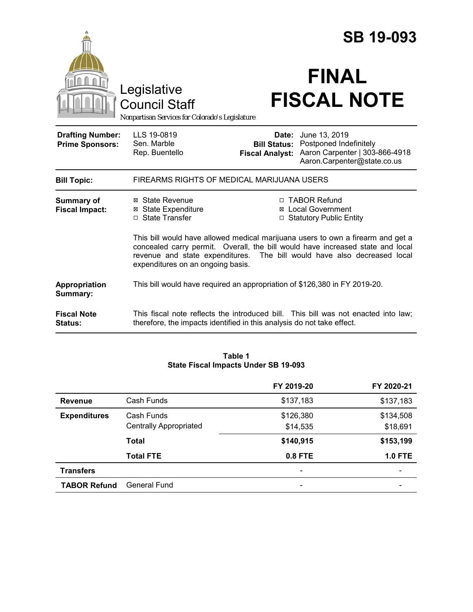|                                                   |                                                                                                                                                                                                                                                                                    |                                 | <b>SB 19-093</b>                                                                                                             |
|---------------------------------------------------|------------------------------------------------------------------------------------------------------------------------------------------------------------------------------------------------------------------------------------------------------------------------------------|---------------------------------|------------------------------------------------------------------------------------------------------------------------------|
|                                                   | Legislative<br><b>Council Staff</b><br>Nonpartisan Services for Colorado's Legislature                                                                                                                                                                                             |                                 | <b>FINAL</b><br><b>FISCAL NOTE</b>                                                                                           |
| <b>Drafting Number:</b><br><b>Prime Sponsors:</b> | LLS 19-0819<br>Sen. Marble<br>Rep. Buentello                                                                                                                                                                                                                                       | Date:<br><b>Fiscal Analyst:</b> | June 13, 2019<br><b>Bill Status: Postponed Indefinitely</b><br>Aaron Carpenter   303-866-4918<br>Aaron.Carpenter@state.co.us |
| <b>Bill Topic:</b>                                | FIREARMS RIGHTS OF MEDICAL MARIJUANA USERS                                                                                                                                                                                                                                         |                                 |                                                                                                                              |
| Summary of<br><b>Fiscal Impact:</b>               | ⊠ State Revenue<br><b>⊠ State Expenditure</b><br>□ State Transfer                                                                                                                                                                                                                  |                                 | □ TABOR Refund<br><b>⊠</b> Local Government<br>□ Statutory Public Entity                                                     |
|                                                   | This bill would have allowed medical marijuana users to own a firearm and get a<br>concealed carry permit. Overall, the bill would have increased state and local<br>revenue and state expenditures. The bill would have also decreased local<br>expenditures on an ongoing basis. |                                 |                                                                                                                              |
| Appropriation<br>Summary:                         | This bill would have required an appropriation of \$126,380 in FY 2019-20.                                                                                                                                                                                                         |                                 |                                                                                                                              |
| <b>Fiscal Note</b><br><b>Status:</b>              | therefore, the impacts identified in this analysis do not take effect.                                                                                                                                                                                                             |                                 | This fiscal note reflects the introduced bill. This bill was not enacted into law;                                           |

| Table 1                              |  |  |
|--------------------------------------|--|--|
| State Fiscal Impacts Under SB 19-093 |  |  |

|                     |                               | FY 2019-20 | FY 2020-21     |
|---------------------|-------------------------------|------------|----------------|
| <b>Revenue</b>      | Cash Funds                    | \$137,183  | \$137,183      |
| <b>Expenditures</b> | Cash Funds                    | \$126,380  | \$134,508      |
|                     | <b>Centrally Appropriated</b> | \$14,535   | \$18,691       |
|                     | <b>Total</b>                  | \$140,915  | \$153,199      |
|                     | <b>Total FTE</b>              | 0.8 FTE    | <b>1.0 FTE</b> |
| <b>Transfers</b>    |                               |            |                |
| <b>TABOR Refund</b> | General Fund                  |            |                |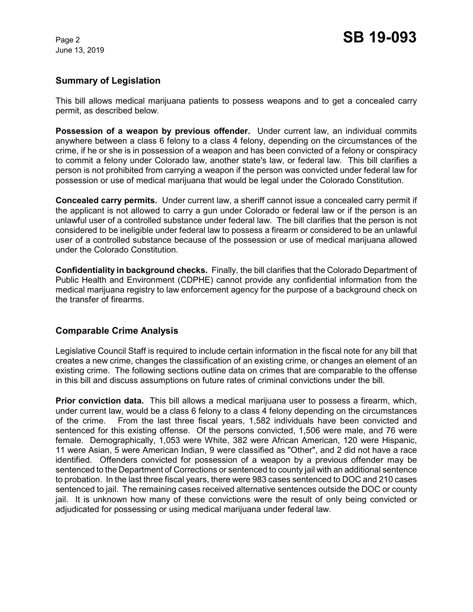# **Summary of Legislation**

This bill allows medical marijuana patients to possess weapons and to get a concealed carry permit, as described below.

**Possession of a weapon by previous offender.** Under current law, an individual commits anywhere between a class 6 felony to a class 4 felony, depending on the circumstances of the crime, if he or she is in possession of a weapon and has been convicted of a felony or conspiracy to commit a felony under Colorado law, another state's law, or federal law. This bill clarifies a person is not prohibited from carrying a weapon if the person was convicted under federal law for possession or use of medical marijuana that would be legal under the Colorado Constitution.

**Concealed carry permits.** Under current law, a sheriff cannot issue a concealed carry permit if the applicant is not allowed to carry a gun under Colorado or federal law or if the person is an unlawful user of a controlled substance under federal law. The bill clarifies that the person is not considered to be ineligible under federal law to possess a firearm or considered to be an unlawful user of a controlled substance because of the possession or use of medical marijuana allowed under the Colorado Constitution.

**Confidentiality in background checks.** Finally, the bill clarifies that the Colorado Department of Public Health and Environment (CDPHE) cannot provide any confidential information from the medical marijuana registry to law enforcement agency for the purpose of a background check on the transfer of firearms.

# **Comparable Crime Analysis**

Legislative Council Staff is required to include certain information in the fiscal note for any bill that creates a new crime, changes the classification of an existing crime, or changes an element of an existing crime. The following sections outline data on crimes that are comparable to the offense in this bill and discuss assumptions on future rates of criminal convictions under the bill.

**Prior conviction data.** This bill allows a medical marijuana user to possess a firearm, which, under current law, would be a class 6 felony to a class 4 felony depending on the circumstances of the crime. From the last three fiscal years, 1,582 individuals have been convicted and sentenced for this existing offense. Of the persons convicted, 1,506 were male, and 76 were female. Demographically, 1,053 were White, 382 were African American, 120 were Hispanic, 11 were Asian, 5 were American Indian, 9 were classified as "Other", and 2 did not have a race identified. Offenders convicted for possession of a weapon by a previous offender may be sentenced to the Department of Corrections or sentenced to county jail with an additional sentence to probation. In the last three fiscal years, there were 983 cases sentenced to DOC and 210 cases sentenced to jail. The remaining cases received alternative sentences outside the DOC or county jail. It is unknown how many of these convictions were the result of only being convicted or adjudicated for possessing or using medical marijuana under federal law.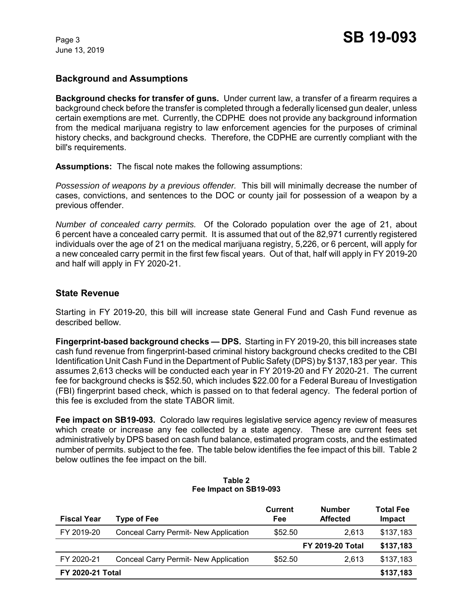# **Background and Assumptions**

**Background checks for transfer of guns.** Under current law, a transfer of a firearm requires a background check before the transfer is completed through a federally licensed gun dealer, unless certain exemptions are met. Currently, the CDPHE does not provide any background information from the medical marijuana registry to law enforcement agencies for the purposes of criminal history checks, and background checks. Therefore, the CDPHE are currently compliant with the bill's requirements.

**Assumptions:** The fiscal note makes the following assumptions:

*Possession of weapons by a previous offender.* This bill will minimally decrease the number of cases, convictions, and sentences to the DOC or county jail for possession of a weapon by a previous offender.

*Number of concealed carry permits.* Of the Colorado population over the age of 21, about 6 percent have a concealed carry permit. It is assumed that out of the 82,971 currently registered individuals over the age of 21 on the medical marijuana registry, 5,226, or 6 percent, will apply for a new concealed carry permit in the first few fiscal years. Out of that, half will apply in FY 2019-20 and half will apply in FY 2020-21.

# **State Revenue**

Starting in FY 2019-20, this bill will increase state General Fund and Cash Fund revenue as described bellow.

**Fingerprint-based background checks — DPS.** Starting in FY 2019-20, this bill increases state cash fund revenue from fingerprint-based criminal history background checks credited to the CBI Identification Unit Cash Fund in the Department of Public Safety (DPS) by \$137,183 per year. This assumes 2,613 checks will be conducted each year in FY 2019-20 and FY 2020-21. The current fee for background checks is \$52.50, which includes \$22.00 for a Federal Bureau of Investigation (FBI) fingerprint based check, which is passed on to that federal agency. The federal portion of this fee is excluded from the state TABOR limit.

**Fee impact on SB19-093.** Colorado law requires legislative service agency review of measures which create or increase any fee collected by a state agency. These are current fees set administratively by DPS based on cash fund balance, estimated program costs, and the estimated number of permits. subject to the fee. The table below identifies the fee impact of this bill.Table 2 below outlines the fee impact on the bill.

| <b>Fiscal Year</b>      | <b>Type of Fee</b>                           | <b>Current</b><br>Fee | <b>Number</b><br><b>Affected</b> | <b>Total Fee</b><br>Impact |
|-------------------------|----------------------------------------------|-----------------------|----------------------------------|----------------------------|
| FY 2019-20              | Conceal Carry Permit- New Application        | \$52.50               | 2.613                            | \$137,183                  |
|                         |                                              |                       | <b>FY 2019-20 Total</b>          | \$137,183                  |
| FY 2020-21              | <b>Conceal Carry Permit- New Application</b> | \$52.50               | 2.613                            | \$137.183                  |
| <b>FY 2020-21 Total</b> |                                              |                       |                                  | \$137,183                  |

#### **Table 2 Fee Impact on SB19-093**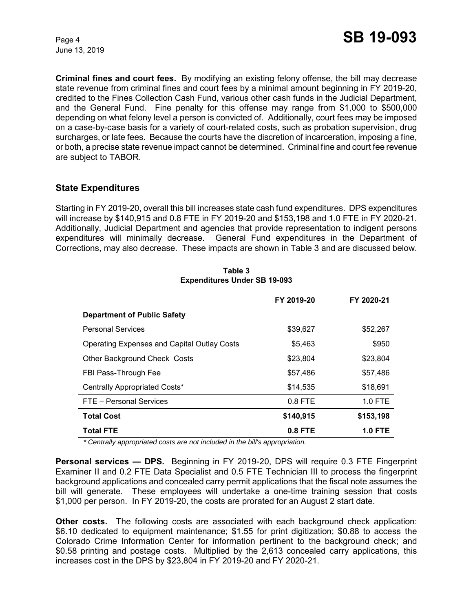**Criminal fines and court fees.** By modifying an existing felony offense, the bill may decrease state revenue from criminal fines and court fees by a minimal amount beginning in FY 2019-20, credited to the Fines Collection Cash Fund, various other cash funds in the Judicial Department, and the General Fund. Fine penalty for this offense may range from \$1,000 to \$500,000 depending on what felony level a person is convicted of. Additionally, court fees may be imposed on a case-by-case basis for a variety of court-related costs, such as probation supervision, drug surcharges, or late fees. Because the courts have the discretion of incarceration, imposing a fine, or both, a precise state revenue impact cannot be determined. Criminal fine and court fee revenue are subject to TABOR.

# **State Expenditures**

Starting in FY 2019-20, overall this bill increases state cash fund expenditures. DPS expenditures will increase by \$140,915 and 0.8 FTE in FY 2019-20 and \$153,198 and 1.0 FTE in FY 2020-21. Additionally, Judicial Department and agencies that provide representation to indigent persons expenditures will minimally decrease. General Fund expenditures in the Department of Corrections, may also decrease. These impacts are shown in Table 3 and are discussed below.

|                                                    | FY 2019-20 | FY 2020-21     |
|----------------------------------------------------|------------|----------------|
| <b>Department of Public Safety</b>                 |            |                |
| <b>Personal Services</b>                           | \$39,627   | \$52,267       |
| <b>Operating Expenses and Capital Outlay Costs</b> | \$5,463    | \$950          |
| Other Background Check Costs                       | \$23,804   | \$23,804       |
| FBI Pass-Through Fee                               | \$57,486   | \$57,486       |
| Centrally Appropriated Costs*                      | \$14.535   | \$18,691       |
| FTE - Personal Services                            | $0.8$ FTE  | $1.0$ FTE      |
| <b>Total Cost</b>                                  | \$140,915  | \$153,198      |
| <b>Total FTE</b>                                   | $0.8$ FTE  | <b>1.0 FTE</b> |

**Table 3 Expenditures Under SB 19-093**

*\* Centrally appropriated costs are not included in the bill's appropriation.*

**Personal services — DPS.** Beginning in FY 2019-20, DPS will require 0.3 FTE Fingerprint Examiner II and 0.2 FTE Data Specialist and 0.5 FTE Technician III to process the fingerprint background applications and concealed carry permit applications that the fiscal note assumes the bill will generate. These employees will undertake a one-time training session that costs \$1,000 per person. In FY 2019-20, the costs are prorated for an August 2 start date.

**Other costs.** The following costs are associated with each background check application: \$6.10 dedicated to equipment maintenance; \$1.55 for print digitization; \$0.88 to access the Colorado Crime Information Center for information pertinent to the background check; and \$0.58 printing and postage costs. Multiplied by the 2,613 concealed carry applications, this increases cost in the DPS by \$23,804 in FY 2019-20 and FY 2020-21.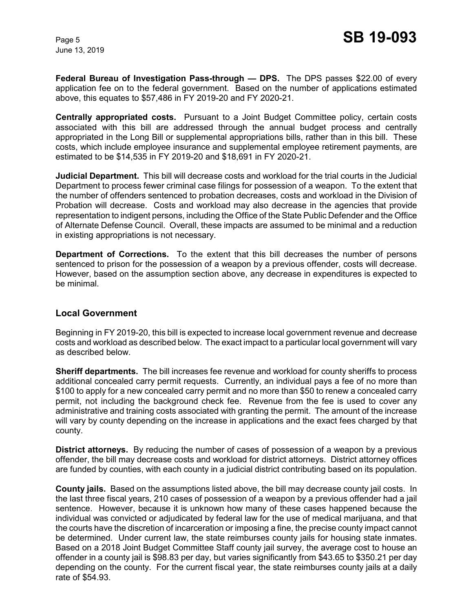**Federal Bureau of Investigation Pass-through — DPS.** The DPS passes \$22.00 of every application fee on to the federal government. Based on the number of applications estimated above, this equates to \$57,486 in FY 2019-20 and FY 2020-21.

**Centrally appropriated costs.** Pursuant to a Joint Budget Committee policy, certain costs associated with this bill are addressed through the annual budget process and centrally appropriated in the Long Bill or supplemental appropriations bills, rather than in this bill. These costs, which include employee insurance and supplemental employee retirement payments, are estimated to be \$14,535 in FY 2019-20 and \$18,691 in FY 2020-21.

**Judicial Department.** This bill will decrease costs and workload for the trial courts in the Judicial Department to process fewer criminal case filings for possession of a weapon. To the extent that the number of offenders sentenced to probation decreases, costs and workload in the Division of Probation will decrease. Costs and workload may also decrease in the agencies that provide representation to indigent persons, including the Office of the State Public Defender and the Office of Alternate Defense Council. Overall, these impacts are assumed to be minimal and a reduction in existing appropriations is not necessary.

**Department of Corrections.** To the extent that this bill decreases the number of persons sentenced to prison for the possession of a weapon by a previous offender, costs will decrease. However, based on the assumption section above, any decrease in expenditures is expected to be minimal.

### **Local Government**

Beginning in FY 2019-20, this bill is expected to increase local government revenue and decrease costs and workload as described below. The exact impact to a particular local government will vary as described below.

**Sheriff departments.** The bill increases fee revenue and workload for county sheriffs to process additional concealed carry permit requests. Currently, an individual pays a fee of no more than \$100 to apply for a new concealed carry permit and no more than \$50 to renew a concealed carry permit, not including the background check fee. Revenue from the fee is used to cover any administrative and training costs associated with granting the permit. The amount of the increase will vary by county depending on the increase in applications and the exact fees charged by that county.

**District attorneys.** By reducing the number of cases of possession of a weapon by a previous offender, the bill may decrease costs and workload for district attorneys. District attorney offices are funded by counties, with each county in a judicial district contributing based on its population.

**County jails.** Based on the assumptions listed above, the bill may decrease county jail costs. In the last three fiscal years, 210 cases of possession of a weapon by a previous offender had a jail sentence. However, because it is unknown how many of these cases happened because the individual was convicted or adjudicated by federal law for the use of medical marijuana, and that the courts have the discretion of incarceration or imposing a fine, the precise county impact cannot be determined. Under current law, the state reimburses county jails for housing state inmates. Based on a 2018 Joint Budget Committee Staff county jail survey, the average cost to house an offender in a county jail is \$98.83 per day, but varies significantly from \$43.65 to \$350.21 per day depending on the county. For the current fiscal year, the state reimburses county jails at a daily rate of \$54.93.